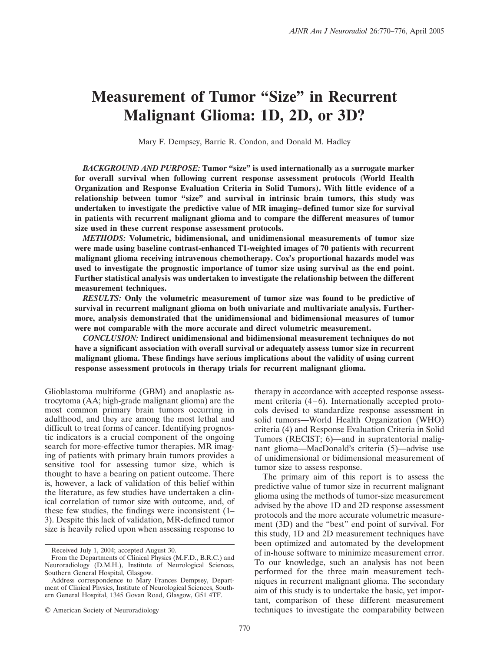# **Measurement of Tumor "Size" in Recurrent Malignant Glioma: 1D, 2D, or 3D?**

Mary F. Dempsey, Barrie R. Condon, and Donald M. Hadley

*BACKGROUND AND PURPOSE:* **Tumor "size" is used internationally as a surrogate marker for overall survival when following current response assessment protocols (World Health Organization and Response Evaluation Criteria in Solid Tumors). With little evidence of a relationship between tumor "size" and survival in intrinsic brain tumors, this study was undertaken to investigate the predictive value of MR imaging– defined tumor size for survival in patients with recurrent malignant glioma and to compare the different measures of tumor size used in these current response assessment protocols.**

*METHODS:* **Volumetric, bidimensional, and unidimensional measurements of tumor size were made using baseline contrast-enhanced T1-weighted images of 70 patients with recurrent malignant glioma receiving intravenous chemotherapy. Cox's proportional hazards model was used to investigate the prognostic importance of tumor size using survival as the end point. Further statistical analysis was undertaken to investigate the relationship between the different measurement techniques.**

*RESULTS:* **Only the volumetric measurement of tumor size was found to be predictive of survival in recurrent malignant glioma on both univariate and multivariate analysis. Furthermore, analysis demonstrated that the unidimensional and bidimensional measures of tumor were not comparable with the more accurate and direct volumetric measurement.**

*CONCLUSION:* **Indirect unidimensional and bidimensional measurement techniques do not have a significant association with overall survival or adequately assess tumor size in recurrent malignant glioma. These findings have serious implications about the validity of using current response assessment protocols in therapy trials for recurrent malignant glioma.**

Glioblastoma multiforme (GBM) and anaplastic astrocytoma (AA; high-grade malignant glioma) are the most common primary brain tumors occurring in adulthood, and they are among the most lethal and difficult to treat forms of cancer. Identifying prognostic indicators is a crucial component of the ongoing search for more-effective tumor therapies. MR imaging of patients with primary brain tumors provides a sensitive tool for assessing tumor size, which is thought to have a bearing on patient outcome. There is, however, a lack of validation of this belief within the literature, as few studies have undertaken a clinical correlation of tumor size with outcome, and, of these few studies, the findings were inconsistent (1– 3). Despite this lack of validation, MR-defined tumor size is heavily relied upon when assessing response to

therapy in accordance with accepted response assessment criteria  $(4-6)$ . Internationally accepted protocols devised to standardize response assessment in solid tumors—World Health Organization (WHO) criteria (4) and Response Evaluation Criteria in Solid Tumors (RECIST; 6)—and in supratentorial malignant glioma—MacDonald's criteria (5)—advise use of unidimensional or bidimensional measurement of tumor size to assess response.

The primary aim of this report is to assess the predictive value of tumor size in recurrent malignant glioma using the methods of tumor-size measurement advised by the above 1D and 2D response assessment protocols and the more accurate volumetric measurement (3D) and the "best" end point of survival. For this study, 1D and 2D measurement techniques have been optimized and automated by the development of in-house software to minimize measurement error. To our knowledge, such an analysis has not been performed for the three main measurement techniques in recurrent malignant glioma. The secondary aim of this study is to undertake the basic, yet important, comparison of these different measurement techniques to investigate the comparability between

Received July 1, 2004; accepted August 30.

From the Departments of Clinical Physics (M.F.D., B.R.C.) and Neuroradiology (D.M.H.), Institute of Neurological Sciences, Southern General Hospital, Glasgow.

Address correspondence to Mary Frances Dempsey, Department of Clinical Physics, Institute of Neurological Sciences, Southern General Hospital, 1345 Govan Road, Glasgow, G51 4TF.

<sup>©</sup> American Society of Neuroradiology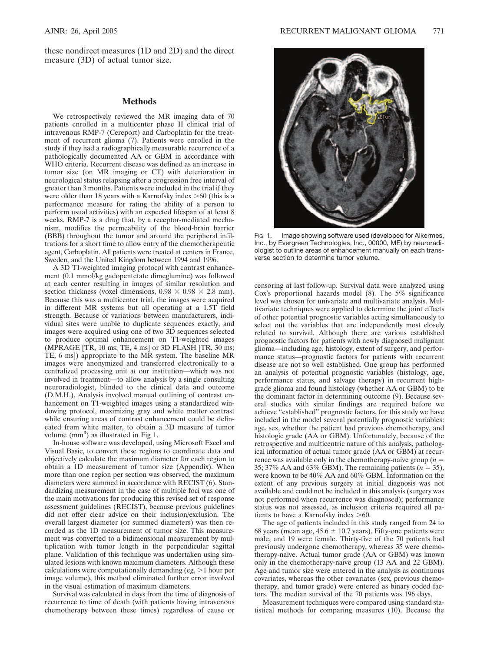these nondirect measures (1D and 2D) and the direct measure (3D) of actual tumor size.

#### **Methods**

We retrospectively reviewed the MR imaging data of 70 patients enrolled in a multicenter phase II clinical trial of intravenous RMP-7 (Cereport) and Carboplatin for the treatment of recurrent glioma (7). Patients were enrolled in the study if they had a radiographically measurable recurrence of a pathologically documented AA or GBM in accordance with WHO criteria. Recurrent disease was defined as an increase in tumor size (on MR imaging or CT) with deterioration in neurological status relapsing after a progression free interval of greater than 3 months. Patients were included in the trial if they were older than 18 years with a Karnofsky index  $>60$  (this is a performance measure for rating the ability of a person to perform usual activities) with an expected lifespan of at least 8 weeks. RMP-7 is a drug that, by a receptor-mediated mechanism, modifies the permeability of the blood-brain barrier (BBB) throughout the tumor and around the peripheral infiltrations for a short time to allow entry of the chemotherapeutic agent, Carboplatin. All patients were treated at centers in France, Sweden, and the United Kingdom between 1994 and 1996.

A 3D T1-weighted imaging protocol with contrast enhancement (0.1 mmol/kg gadopentetate dimeglumine) was followed at each center resulting in images of similar resolution and section thickness (voxel dimensions,  $0.98 \times 0.98 \times 2.8$  mm). Because this was a multicenter trial, the images were acquired in different MR systems but all operating at a 1.5T field strength. Because of variations between manufacturers, individual sites were unable to duplicate sequences exactly, and images were acquired using one of two 3D sequences selected to produce optimal enhancement on T1-weighted images (MPRAGE [TR, 10 ms; TE, 4 ms] or 3D FLASH [TR, 30 ms; TE, 6 ms]) appropriate to the MR system. The baseline MR images were anonymized and transferred electronically to a centralized processing unit at our institution—which was not involved in treatment—to allow analysis by a single consulting neuroradiologist, blinded to the clinical data and outcome (D.M.H.). Analysis involved manual outlining of contrast enhancement on T1-weighted images using a standardized windowing protocol, maximizing gray and white matter contrast while ensuring areas of contrast enhancement could be delineated from white matter, to obtain a 3D measure of tumor volume (mm<sup>3</sup>) as illustrated in Fig 1.

In-house software was developed, using Microsoft Excel and Visual Basic, to convert these regions to coordinate data and objectively calculate the maximum diameter for each region to obtain a 1D measurement of tumor size (Appendix). When more than one region per section was observed, the maximum diameters were summed in accordance with RECIST (6). Standardizing measurement in the case of multiple foci was one of the main motivations for producing this revised set of response assessment guidelines (RECIST), because previous guidelines did not offer clear advice on their inclusion/exclusion. The overall largest diameter (or summed diameters) was then recorded as the 1D measurement of tumor size. This measurement was converted to a bidimensional measurement by multiplication with tumor length in the perpendicular sagittal plane. Validation of this technique was undertaken using simulated lesions with known maximum diameters. Although these calculations were computationally demanding (eg,  $>1$  hour per image volume), this method eliminated further error involved in the visual estimation of maximum diameters.

Survival was calculated in days from the time of diagnosis of recurrence to time of death (with patients having intravenous chemotherapy between these times) regardless of cause or



Fig 1. Image showing software used (developed for Alkermes, Inc., by Evergreen Technologies, Inc., 00000, ME) by neuroradiologist to outline areas of enhancement manually on each transverse section to determine tumor volume.

censoring at last follow-up. Survival data were analyzed using Cox's proportional hazards model (8). The 5% significance level was chosen for univariate and multivariate analysis. Multivariate techniques were applied to determine the joint effects of other potential prognostic variables acting simultaneously to select out the variables that are independently most closely related to survival. Although there are various established prognostic factors for patients with newly diagnosed malignant glioma—including age, histology, extent of surgery, and performance status—prognostic factors for patients with recurrent disease are not so well established. One group has performed an analysis of potential prognostic variables (histology, age, performance status, and salvage therapy) in recurrent highgrade glioma and found histology (whether AA or GBM) to be the dominant factor in determining outcome (9). Because several studies with similar findings are required before we achieve "established" prognostic factors, for this study we have included in the model several potentially prognostic variables: age, sex, whether the patient had previous chemotherapy, and histologic grade (AA or GBM). Unfortunately, because of the retrospective and multicentric nature of this analysis, pathological information of actual tumor grade (AA or GBM) at recurrence was available only in the chemotherapy-naive group  $(n =$ 35; 37% AA and 63% GBM). The remaining patients ( $n = 35$ ), were known to be 40% AA and 60% GBM. Information on the extent of any previous surgery at initial diagnosis was not available and could not be included in this analysis (surgery was not performed when recurrence was diagnosed); performance status was not assessed, as inclusion criteria required all patients to have a Karnofsky index  $>60$ .

The age of patients included in this study ranged from 24 to 68 years (mean age,  $45.6 \pm 10.7$  years). Fifty-one patients were male, and 19 were female. Thirty-five of the 70 patients had previously undergone chemotherapy, whereas 35 were chemotherapy-naive. Actual tumor grade (AA or GBM) was known only in the chemotherapy-naive group (13 AA and 22 GBM). Age and tumor size were entered in the analysis as continuous covariates, whereas the other covariates (sex, previous chemotherapy, and tumor grade) were entered as binary coded factors. The median survival of the 70 patients was 196 days.

Measurement techniques were compared using standard statistical methods for comparing measures (10). Because the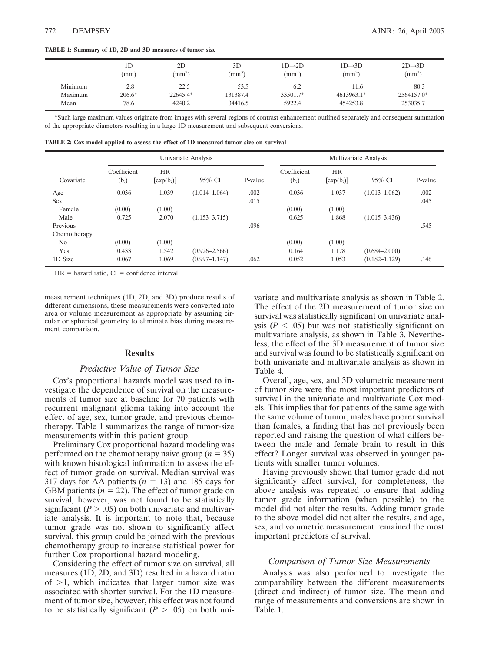**TABLE 1: Summary of 1D, 2D and 3D measures of tumor size**

|         | ID<br>(mm) | 2D<br>$(mm^2)$ | 3D<br>$\text{mm}^3$ | $1D\rightarrow2D$<br>$\text{m}^2$ | $1D\rightarrow3D$<br>$\rm (mm^3)$ | $2D \rightarrow 3D$<br>$\text{m}^3$ |
|---------|------------|----------------|---------------------|-----------------------------------|-----------------------------------|-------------------------------------|
| Minimum | 2.8        | 22.5           | 53.5                | 6.2                               | 11.6                              | 80.3                                |
| Maximum | $206.6*$   | 22645.4*       | 131387.4            | 33501.7*                          | 4613963.1*                        | 2564157.0*                          |
| Mean    | 78.6       | 4240.2         | 34416.5             | 5922.4                            | 454253.8                          | 253035.7                            |

\*Such large maximum values originate from images with several regions of contrast enhancement outlined separately and consequent summation of the appropriate diameters resulting in a large 1D measurement and subsequent conversions.

| TABLE 2: Cox model applied to assess the effect of 1D measured tumor size on survival |  |  |
|---------------------------------------------------------------------------------------|--|--|
|---------------------------------------------------------------------------------------|--|--|

|                | Univariate Analysis    |                           |                   |         | Multivariate Analysis  |                           |                   |         |
|----------------|------------------------|---------------------------|-------------------|---------|------------------------|---------------------------|-------------------|---------|
| Covariate      | Coefficient<br>$(b_i)$ | <b>HR</b><br>$[exp(b_i)]$ | 95% CI            | P-value | Coefficient<br>$(b_i)$ | <b>HR</b><br>$[exp(b_i)]$ | 95% CI            | P-value |
| Age            | 0.036                  | 1.039                     | $(1.014 - 1.064)$ | .002    | 0.036                  | 1.037                     | $(1.013 - 1.062)$ | .002    |
| <b>Sex</b>     |                        |                           |                   | .015    |                        |                           |                   | .045    |
| Female         | (0.00)                 | (1.00)                    |                   |         | (0.00)                 | (1.00)                    |                   |         |
| Male           | 0.725                  | 2.070                     | $(1.153 - 3.715)$ |         | 0.625                  | 1.868                     | $(1.015 - 3.436)$ |         |
| Previous       |                        |                           |                   | .096    |                        |                           |                   | .545    |
| Chemotherapy   |                        |                           |                   |         |                        |                           |                   |         |
| N <sub>0</sub> | (0.00)                 | (1.00)                    |                   |         | (0.00)                 | (1.00)                    |                   |         |
| Yes            | 0.433                  | 1.542                     | $(0.926 - 2.566)$ |         | 0.164                  | 1.178                     | $(0.684 - 2.000)$ |         |
| 1D Size        | 0.067                  | 1.069                     | $(0.997 - 1.147)$ | .062    | 0.052                  | 1.053                     | $(0.182 - 1.129)$ | .146    |

 $HR = hazard ratio, CI = confidence interval$ 

measurement techniques (1D, 2D, and 3D) produce results of different dimensions, these measurements were converted into area or volume measurement as appropriate by assuming circular or spherical geometry to eliminate bias during measurement comparison.

## **Results**

## *Predictive Value of Tumor Size*

Cox's proportional hazards model was used to investigate the dependence of survival on the measurements of tumor size at baseline for 70 patients with recurrent malignant glioma taking into account the effect of age, sex, tumor grade, and previous chemotherapy. Table 1 summarizes the range of tumor-size measurements within this patient group.

Preliminary Cox proportional hazard modeling was performed on the chemotherapy naive group  $(n = 35)$ with known histological information to assess the effect of tumor grade on survival. Median survival was 317 days for AA patients  $(n = 13)$  and 185 days for GBM patients  $(n = 22)$ . The effect of tumor grade on survival, however, was not found to be statistically significant  $(P > .05)$  on both univariate and multivariate analysis. It is important to note that, because tumor grade was not shown to significantly affect survival, this group could be joined with the previous chemotherapy group to increase statistical power for further Cox proportional hazard modeling.

Considering the effect of tumor size on survival, all measures (1D, 2D, and 3D) resulted in a hazard ratio of  $>1$ , which indicates that larger tumor size was associated with shorter survival. For the 1D measurement of tumor size, however, this effect was not found to be statistically significant  $(P > .05)$  on both univariate and multivariate analysis as shown in Table 2. The effect of the 2D measurement of tumor size on survival was statistically significant on univariate analysis ( $P < .05$ ) but was not statistically significant on multivariate analysis, as shown in Table 3. Nevertheless, the effect of the 3D measurement of tumor size and survival was found to be statistically significant on both univariate and multivariate analysis as shown in Table 4.

Overall, age, sex, and 3D volumetric measurement of tumor size were the most important predictors of survival in the univariate and multivariate Cox models. This implies that for patients of the same age with the same volume of tumor, males have poorer survival than females, a finding that has not previously been reported and raising the question of what differs between the male and female brain to result in this effect? Longer survival was observed in younger patients with smaller tumor volumes.

Having previously shown that tumor grade did not significantly affect survival, for completeness, the above analysis was repeated to ensure that adding tumor grade information (when possible) to the model did not alter the results. Adding tumor grade to the above model did not alter the results, and age, sex, and volumetric measurement remained the most important predictors of survival.

## *Comparison of Tumor Size Measurements*

Analysis was also performed to investigate the comparability between the different measurements (direct and indirect) of tumor size. The mean and range of measurements and conversions are shown in Table 1.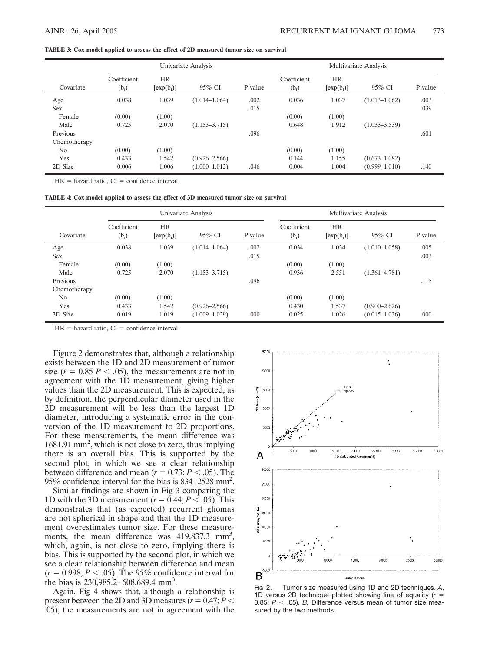#### **TABLE 3: Cox model applied to assess the effect of 2D measured tumor size on survival**

|                | Univariate Analysis    |                            |                   |         | Multivariate Analysis  |                            |                   |         |
|----------------|------------------------|----------------------------|-------------------|---------|------------------------|----------------------------|-------------------|---------|
| Covariate      | Coefficient<br>$(b_i)$ | <b>HR</b><br>$[\exp(b_i)]$ | 95% CI            | P-value | Coefficient<br>$(b_i)$ | <b>HR</b><br>$[\exp(b_i)]$ | 95% CI            | P-value |
| Age            | 0.038                  | 1.039                      | $(1.014 - 1.064)$ | .002    | 0.036                  | 1.037                      | $(1.013 - 1.062)$ | .003    |
| Sex            |                        |                            |                   | .015    |                        |                            |                   | .039    |
| Female         | (0.00)                 | (1.00)                     |                   |         | (0.00)                 | (1.00)                     |                   |         |
| Male           | 0.725                  | 2.070                      | $(1.153 - 3.715)$ |         | 0.648                  | 1.912                      | $(1.033 - 3.539)$ |         |
| Previous       |                        |                            |                   | .096    |                        |                            |                   | .601    |
| Chemotherapy   |                        |                            |                   |         |                        |                            |                   |         |
| N <sub>0</sub> | (0.00)                 | (1.00)                     |                   |         | (0.00)                 | (1.00)                     |                   |         |
| Yes            | 0.433                  | 1.542                      | $(0.926 - 2.566)$ |         | 0.144                  | 1.155                      | $(0.673 - 1.082)$ |         |
| 2D Size        | 0.006                  | 1.006                      | $(1.000 - 1.012)$ | .046    | 0.004                  | 1.004                      | $(0.999 - 1.010)$ | .140    |

 $HR = hazard ratio$ .  $CI = confidence interval$ 

| TABLE 4: Cox model applied to assess the effect of 3D measured tumor size on survival |  |  |  |  |
|---------------------------------------------------------------------------------------|--|--|--|--|
|---------------------------------------------------------------------------------------|--|--|--|--|

|                      | Univariate Analysis    |                           |                   |         | Multivariate Analysis  |                           |                   |         |
|----------------------|------------------------|---------------------------|-------------------|---------|------------------------|---------------------------|-------------------|---------|
| Covariate            | Coefficient<br>$(b_i)$ | <b>HR</b><br>$[exp(b_i)]$ | 95% CI            | P-value | Coefficient<br>$(b_i)$ | <b>HR</b><br>$[exp(b_i)]$ | 95% CI            | P-value |
| Age                  | 0.038                  | 1.039                     | $(1.014 - 1.064)$ | .002    | 0.034                  | 1.034                     | $(1.010 - 1.058)$ | .005    |
| <b>Sex</b><br>Female | (0.00)                 | (1.00)                    |                   | .015    | (0.00)                 | (1.00)                    |                   | .003    |
| Male                 | 0.725                  | 2.070                     | $(1.153 - 3.715)$ |         | 0.936                  | 2.551                     | $(1.361 - 4.781)$ |         |
| Previous             |                        |                           |                   | .096    |                        |                           |                   | .115    |
| Chemotherapy         |                        |                           |                   |         |                        |                           |                   |         |
| N <sub>0</sub>       | (0.00)                 | (1.00)                    |                   |         | (0.00)                 | (1.00)                    |                   |         |
| Yes                  | 0.433                  | 1.542                     | $(0.926 - 2.566)$ |         | 0.430                  | 1.537                     | $(0.900 - 2.626)$ |         |
| 3D Size              | 0.019                  | 1.019                     | $(1.009 - 1.029)$ | .000    | 0.025                  | 1.026                     | $(0.015 - 1.036)$ | .000    |

 $HR = hazard ratio, CI = confidence interval$ 

Figure 2 demonstrates that, although a relationship exists between the 1D and 2D measurement of tumor size  $(r = 0.85 \, P < .05)$ , the measurements are not in agreement with the 1D measurement, giving higher values than the 2D measurement. This is expected, as by definition, the perpendicular diameter used in the 2D measurement will be less than the largest 1D diameter, introducing a systematic error in the conversion of the 1D measurement to 2D proportions. For these measurements, the mean difference was 1681.91 mm<sup>2</sup>, which is not close to zero, thus implying there is an overall bias. This is supported by the second plot, in which we see a clear relationship between difference and mean  $(r = 0.73; P < .05)$ . The 95% confidence interval for the bias is 834 –2528 mm2 .

Similar findings are shown in Fig 3 comparing the 1D with the 3D measurement  $(r = 0.44; P < .05)$ . This demonstrates that (as expected) recurrent gliomas are not spherical in shape and that the 1D measurement overestimates tumor size. For these measurements, the mean difference was 419,837.3 mm<sup>3</sup>, which, again, is not close to zero, implying there is bias. This is supported by the second plot, in which we see a clear relationship between difference and mean  $(r = 0.998; P < .05)$ . The 95% confidence interval for the bias is  $230,985.2 - 608,689.4$  mm<sup>3</sup>.

Again, Fig 4 shows that, although a relationship is present between the 2D and 3D measures  $(r = 0.47; P <$ .05), the measurements are not in agreement with the



FIG 2. Tumor size measured using 1D and 2D techniques. *A*, 1D versus 2D technique plotted showing line of equality (*r* 0.85;  $P <$  .05),  $B$ , Difference versus mean of tumor size measured by the two methods.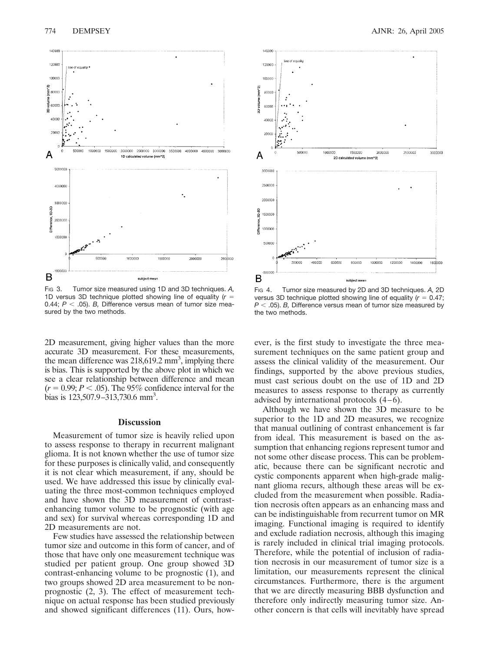

FIG 3. Tumor size measured using 1D and 3D techniques. *A,* 1D versus 3D technique plotted showing line of equality (*r* 0.44;  $P < .05$ ). *B*, Difference versus mean of tumor size measured by the two methods.

2D measurement, giving higher values than the more accurate 3D measurement. For these measurements, the mean difference was  $218,619.2$  mm<sup>3</sup>, implying there is bias. This is supported by the above plot in which we see a clear relationship between difference and mean  $(r = 0.99; P < .05)$ . The 95% confidence interval for the bias is  $123,507.9 - 313,730.6$  mm<sup>3</sup>.

## **Discussion**

Measurement of tumor size is heavily relied upon to assess response to therapy in recurrent malignant glioma. It is not known whether the use of tumor size for these purposes is clinically valid, and consequently it is not clear which measurement, if any, should be used. We have addressed this issue by clinically evaluating the three most-common techniques employed and have shown the 3D measurement of contrastenhancing tumor volume to be prognostic (with age and sex) for survival whereas corresponding 1D and 2D measurements are not.

Few studies have assessed the relationship between tumor size and outcome in this form of cancer, and of those that have only one measurement technique was studied per patient group. One group showed 3D contrast-enhancing volume to be prognostic (1), and two groups showed 2D area measurement to be nonprognostic (2, 3). The effect of measurement technique on actual response has been studied previously and showed significant differences (11). Ours, how-



FIG 4. Tumor size measured by 2D and 3D techniques. *A,* 2D versus 3D technique plotted showing line of equality  $(r = 0.47)$ ; *P* .05). *B,* Difference versus mean of tumor size measured by the two methods.

ever, is the first study to investigate the three measurement techniques on the same patient group and assess the clinical validity of the measurement. Our findings, supported by the above previous studies, must cast serious doubt on the use of 1D and 2D measures to assess response to therapy as currently advised by international protocols  $(4-6)$ .

Although we have shown the 3D measure to be superior to the 1D and 2D measures, we recognize that manual outlining of contrast enhancement is far from ideal. This measurement is based on the assumption that enhancing regions represent tumor and not some other disease process. This can be problematic, because there can be significant necrotic and cystic components apparent when high-grade malignant glioma recurs, although these areas will be excluded from the measurement when possible. Radiation necrosis often appears as an enhancing mass and can be indistinguishable from recurrent tumor on MR imaging. Functional imaging is required to identify and exclude radiation necrosis, although this imaging is rarely included in clinical trial imaging protocols. Therefore, while the potential of inclusion of radiation necrosis in our measurement of tumor size is a limitation, our measurements represent the clinical circumstances. Furthermore, there is the argument that we are directly measuring BBB dysfunction and therefore only indirectly measuring tumor size. Another concern is that cells will inevitably have spread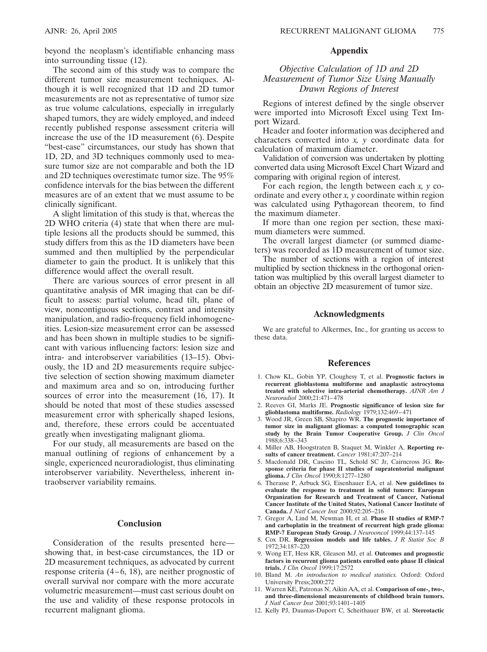beyond the neoplasm's identifiable enhancing mass into surrounding tissue (12).

The second aim of this study was to compare the different tumor size measurement techniques. Although it is well recognized that 1D and 2D tumor measurements are not as representative of tumor size as true volume calculations, especially in irregularly shaped tumors, they are widely employed, and indeed recently published response assessment criteria will increase the use of the 1D measurement (6). Despite "best-case" circumstances, our study has shown that 1D, 2D, and 3D techniques commonly used to measure tumor size are not comparable and both the 1D and 2D techniques overestimate tumor size. The 95% confidence intervals for the bias between the different measures are of an extent that we must assume to be clinically significant.

A slight limitation of this study is that, whereas the 2D WHO criteria (4) state that when there are multiple lesions all the products should be summed, this study differs from this as the 1D diameters have been summed and then multiplied by the perpendicular diameter to gain the product. It is unlikely that this difference would affect the overall result.

There are various sources of error present in all quantitative analysis of MR imaging that can be difficult to assess: partial volume, head tilt, plane of view, noncontiguous sections, contrast and intensity manipulation, and radio-frequency field inhomogeneities. Lesion-size measurement error can be assessed and has been shown in multiple studies to be significant with various influencing factors: lesion size and intra- and interobserver variabilities (13–15). Obviously, the 1D and 2D measurements require subjective selection of section showing maximum diameter and maximum area and so on, introducing further sources of error into the measurement (16, 17). It should be noted that most of these studies assessed measurement error with spherically shaped lesions, and, therefore, these errors could be accentuated greatly when investigating malignant glioma.

For our study, all measurements are based on the manual outlining of regions of enhancement by a single, experienced neuroradiologist, thus eliminating interobserver variability. Nevertheless, inherent intraobserver variability remains.

### **Conclusion**

Consideration of the results presented here showing that, in best-case circumstances, the 1D or 2D measurement techniques, as advocated by current response criteria  $(4-6, 18)$ , are neither prognostic of overall survival nor compare with the more accurate volumetric measurement—must cast serious doubt on the use and validity of these response protocols in recurrent malignant glioma.

# **Appendix**

# *Objective Calculation of 1D and 2D Measurement of Tumor Size Using Manually Drawn Regions of Interest*

Regions of interest defined by the single observer were imported into Microsoft Excel using Text Import Wizard.

Header and footer information was deciphered and characters converted into *x, y* coordinate data for calculation of maximum diameter.

Validation of conversion was undertaken by plotting converted data using Microsoft Excel Chart Wizard and comparing with original region of interest.

For each region, the length between each *x, y* coordinate and every other *x, y* coordinate within region was calculated using Pythagorean theorem, to find the maximum diameter.

If more than one region per section, these maximum diameters were summed.

The overall largest diameter (or summed diameters) was recorded as 1D measurement of tumor size.

The number of sections with a region of interest multiplied by section thickness in the orthogonal orientation was multiplied by this overall largest diameter to obtain an objective 2D measurement of tumor size.

## **Acknowledgments**

We are grateful to Alkermes, Inc., for granting us access to these data.

#### **References**

- 1. Chow KL, Gobin YP, Cloughesy T, et al. **Prognostic factors in recurrent glioblastoma multiforme and anaplastic astrocytoma treated with selective intra-arterial chemotherapy.** *AJNR Am J Neuroradiol* 2000;21:471– 478
- 2. Reeves GI, Marks JE. **Prognostic significance of lesion size for glioblastoma multiforme.** *Radiology* 1979;132:469 – 471
- 3. Wood JR, Green SB, Shapiro WR. **The prognostic importance of tumor size in malignant gliomas: a computed tomographic scan study by the Brain Tumor Cooperative Group.** *J Clin Oncol* 1988;6:338 –343
- 4. Miller AB, Hoogstraten B, Staquet M, Winkler A. **Reporting results of cancer treatment.** *Cancer* 1981;47:207–214
- 5. Macdonald DR, Cascino TL, Schold SC Jr, Cairncross JG. **Response criteria for phase II studies of supratentorial malignant glioma.** *J Clin Oncol* 1990;8:1277–1280
- 6. Therasse P, Arbuck SG, Eisenhauer EA, et al. **New guidelines to evaluate the response to treatment in solid tumors: European Organization for Research and Treatment of Cancer, National Cancer Institute of the United States, National Cancer Institute of Canada.** *J Natl Cancer Inst* 2000;92:205–216
- 7. Gregor A, Lind M, Newman H, et al. **Phase II studies of RMP-7 and carboplatin in the treatment of recurrent high grade glioma: RMP-7 European Study Group.** *J Neurooncol* 1999;44:137–145
- 8. Cox DR. **Regression models and life tables.** *J R Statist Soc B* 1972;34:187–220
- 9. Wong ET, Hess KR, Gleason MJ, et al. **Outcomes and prognostic factors in recurrent glioma patients enrolled onto phase II clinical trials.** *J Clin Oncol* 1999;17:2572
- 10. Bland M. *An introduction to medical statistics.* Oxford: Oxford University Press;2000:272
- 11. Warren KE, Patronas N, Aikin AA, et al. **Comparison of one-, two-, and three-dimensional measurements of childhood brain tumors.** *J Natl Cancer Inst* 2001;93:1401–1405
- 12. Kelly PJ, Daumas-Duport C, Scheithauer BW, et al. **Stereotactic**